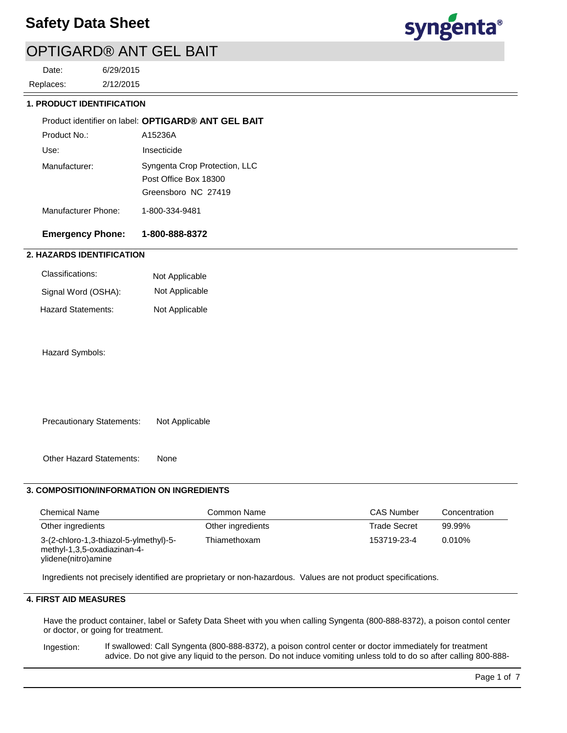

2/12/2015 6/29/2015 Replaces: Date:

### **1. PRODUCT IDENTIFICATION**

|                     | Product identifier on label: OPTIGARD® ANT GEL BAIT                           |
|---------------------|-------------------------------------------------------------------------------|
| Product No.:        | A15236A                                                                       |
| Use:                | Insecticide                                                                   |
| Manufacturer:       | Syngenta Crop Protection, LLC<br>Post Office Box 18300<br>Greensboro NC 27419 |
| Manufacturer Phone: | 1-800-334-9481                                                                |

## **Emergency Phone: 1-800-888-8372**

### **2. HAZARDS IDENTIFICATION**

| Classifications:    | Not Applicable |
|---------------------|----------------|
| Signal Word (OSHA): | Not Applicable |
| Hazard Statements:  | Not Applicable |

Hazard Symbols:

Precautionary Statements: Not Applicable

Other Hazard Statements: None

### **3. COMPOSITION/INFORMATION ON INGREDIENTS**

| <b>Chemical Name</b>                                                                         | Common Name       | <b>CAS Number</b>   | Concentration |
|----------------------------------------------------------------------------------------------|-------------------|---------------------|---------------|
| Other ingredients                                                                            | Other ingredients | <b>Trade Secret</b> | 99.99%        |
| 3-(2-chloro-1,3-thiazol-5-ylmethyl)-5-<br>methyl-1,3,5-oxadiazinan-4-<br>ylidene(nitro)amine | Thiamethoxam      | 153719-23-4         | $0.010\%$     |

Ingredients not precisely identified are proprietary or non-hazardous. Values are not product specifications.

## **4. FIRST AID MEASURES**

Have the product container, label or Safety Data Sheet with you when calling Syngenta (800-888-8372), a poison contol center or doctor, or going for treatment.

If swallowed: Call Syngenta (800-888-8372), a poison control center or doctor immediately for treatment advice. Do not give any liquid to the person. Do not induce vomiting unless told to do so after calling 800-888- Ingestion: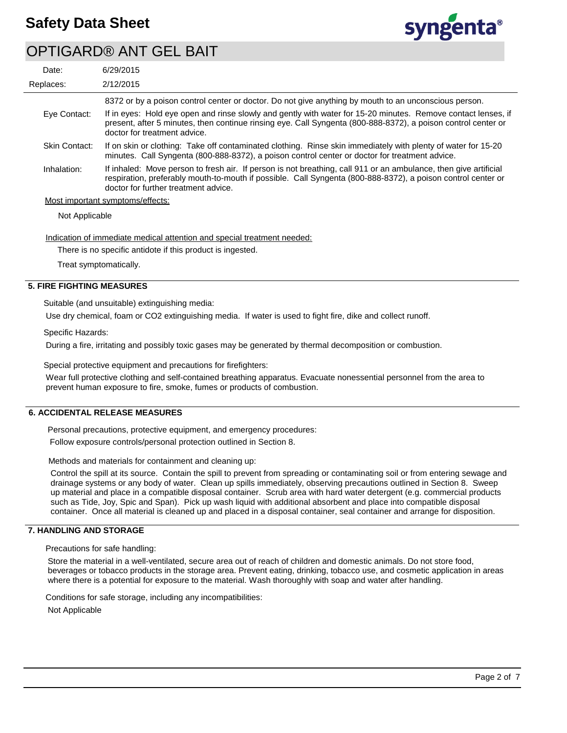

| Date:         | 6/29/2015                                                                                                                                                                                                                                                                |
|---------------|--------------------------------------------------------------------------------------------------------------------------------------------------------------------------------------------------------------------------------------------------------------------------|
| Replaces:     | 2/12/2015                                                                                                                                                                                                                                                                |
|               | 8372 or by a poison control center or doctor. Do not give anything by mouth to an unconscious person.                                                                                                                                                                    |
| Eye Contact:  | If in eyes: Hold eye open and rinse slowly and gently with water for 15-20 minutes. Remove contact lenses, if<br>present, after 5 minutes, then continue rinsing eye. Call Syngenta (800-888-8372), a poison control center or<br>doctor for treatment advice.           |
| Skin Contact: | If on skin or clothing: Take off contaminated clothing. Rinse skin immediately with plenty of water for 15-20<br>minutes. Call Syngenta (800-888-8372), a poison control center or doctor for treatment advice.                                                          |
| Inhalation:   | If inhaled: Move person to fresh air. If person is not breathing, call 911 or an ambulance, then give artificial<br>respiration, preferably mouth-to-mouth if possible. Call Syngenta (800-888-8372), a poison control center or<br>doctor for further treatment advice. |
|               | Most important symptoms/effects:                                                                                                                                                                                                                                         |

Not Applicable

Indication of immediate medical attention and special treatment needed:

There is no specific antidote if this product is ingested.

Treat symptomatically.

### **5. FIRE FIGHTING MEASURES**

Suitable (and unsuitable) extinguishing media:

Use dry chemical, foam or CO2 extinguishing media. If water is used to fight fire, dike and collect runoff.

Specific Hazards:

During a fire, irritating and possibly toxic gases may be generated by thermal decomposition or combustion.

Special protective equipment and precautions for firefighters:

Wear full protective clothing and self-contained breathing apparatus. Evacuate nonessential personnel from the area to prevent human exposure to fire, smoke, fumes or products of combustion.

### **6. ACCIDENTAL RELEASE MEASURES**

Personal precautions, protective equipment, and emergency procedures:

Follow exposure controls/personal protection outlined in Section 8.

Methods and materials for containment and cleaning up:

Control the spill at its source. Contain the spill to prevent from spreading or contaminating soil or from entering sewage and drainage systems or any body of water. Clean up spills immediately, observing precautions outlined in Section 8. Sweep up material and place in a compatible disposal container. Scrub area with hard water detergent (e.g. commercial products such as Tide, Joy, Spic and Span). Pick up wash liquid with additional absorbent and place into compatible disposal container. Once all material is cleaned up and placed in a disposal container, seal container and arrange for disposition.

### **7. HANDLING AND STORAGE**

Precautions for safe handling:

Store the material in a well-ventilated, secure area out of reach of children and domestic animals. Do not store food, beverages or tobacco products in the storage area. Prevent eating, drinking, tobacco use, and cosmetic application in areas where there is a potential for exposure to the material. Wash thoroughly with soap and water after handling.

Conditions for safe storage, including any incompatibilities:

Not Applicable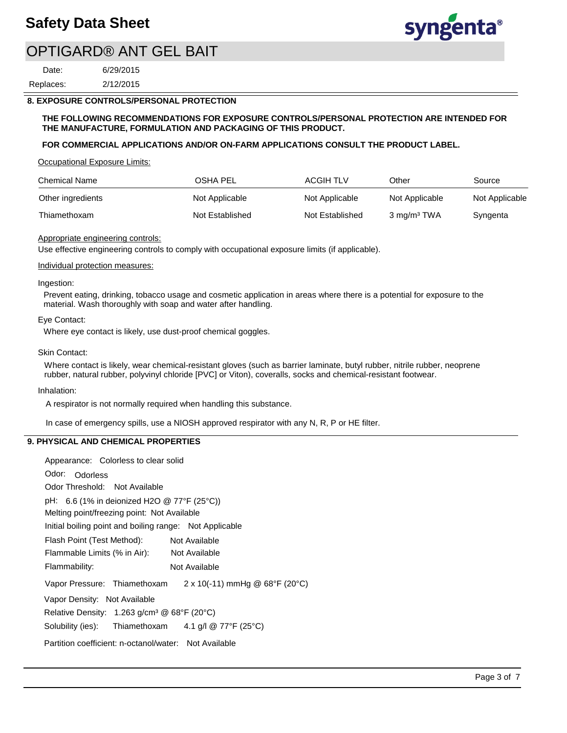

2/12/2015 6/29/2015 Replaces: Date:

### **8. EXPOSURE CONTROLS/PERSONAL PROTECTION**

#### **THE FOLLOWING RECOMMENDATIONS FOR EXPOSURE CONTROLS/PERSONAL PROTECTION ARE INTENDED FOR THE MANUFACTURE, FORMULATION AND PACKAGING OF THIS PRODUCT.**

### **FOR COMMERCIAL APPLICATIONS AND/OR ON-FARM APPLICATIONS CONSULT THE PRODUCT LABEL.**

Occupational Exposure Limits:

| <b>Chemical Name</b> | OSHA PEL        | ACGIH TLV       | Other                   | Source         |
|----------------------|-----------------|-----------------|-------------------------|----------------|
| Other ingredients    | Not Applicable  | Not Applicable  | Not Applicable          | Not Applicable |
| Thiamethoxam         | Not Established | Not Established | 3 mg/m <sup>3</sup> TWA | Syngenta       |

#### Appropriate engineering controls:

Use effective engineering controls to comply with occupational exposure limits (if applicable).

#### Individual protection measures:

#### Ingestion:

Prevent eating, drinking, tobacco usage and cosmetic application in areas where there is a potential for exposure to the material. Wash thoroughly with soap and water after handling.

#### Eye Contact:

Where eye contact is likely, use dust-proof chemical goggles.

#### Skin Contact:

Where contact is likely, wear chemical-resistant gloves (such as barrier laminate, butyl rubber, nitrile rubber, neoprene rubber, natural rubber, polyvinyl chloride [PVC] or Viton), coveralls, socks and chemical-resistant footwear.

#### Inhalation:

A respirator is not normally required when handling this substance.

In case of emergency spills, use a NIOSH approved respirator with any N, R, P or HE filter.

## **9. PHYSICAL AND CHEMICAL PROPERTIES**

| Appearance: Colorless to clear solid                                  |
|-----------------------------------------------------------------------|
| Odor: Odorless                                                        |
| Odor Threshold: Not Available                                         |
| pH: 6.6 (1% in deionized H2O @ 77°F (25°C))                           |
| Melting point/freezing point: Not Available                           |
| Initial boiling point and boiling range: Not Applicable               |
| Flash Point (Test Method):<br>Not Available                           |
| Flammable Limits (% in Air): Not Available                            |
| Flammability:<br>Not Available                                        |
| $2 \times 10(-11)$ mmHg @ 68°F (20°C)<br>Vapor Pressure: Thiamethoxam |
| Vapor Density: Not Available                                          |
| Relative Density: $1.263$ g/cm <sup>3</sup> @ 68°F (20°C)             |
| Solubility (ies): Thiamethoxam $4.1$ g/l @ 77°F (25°C)                |
| Partition coefficient: n-octanol/water: Not Available                 |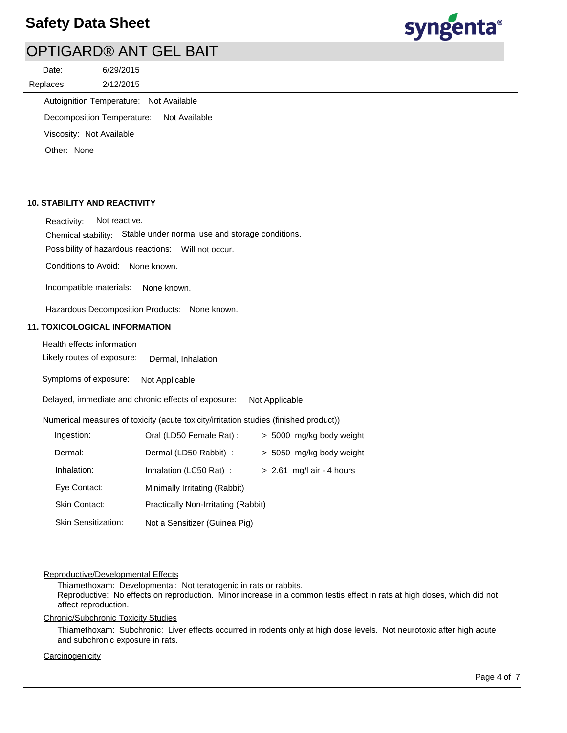# **Safety Data Sheet**



# OPTIGARD® ANT GEL BAIT

2/12/2015 6/29/2015 Replaces: Date:

Autoignition Temperature: Not Available

Decomposition Temperature: Not Available

Viscosity: Not Available

Other: None

### **10. STABILITY AND REACTIVITY**

Reactivity: Not reactive.

Chemical stability: Stable under normal use and storage conditions.

Possibility of hazardous reactions: Will not occur.

Conditions to Avoid: None known.

Incompatible materials: None known.

Hazardous Decomposition Products: None known.

## **11. TOXICOLOGICAL INFORMATION**

Health effects information

Likely routes of exposure: Dermal, Inhalation

Symptoms of exposure: Not Applicable

Delayed, immediate and chronic effects of exposure: Not Applicable

#### Numerical measures of toxicity (acute toxicity/irritation studies (finished product))

| Ingestion:                 | Oral (LD50 Female Rat):             |  | > 5000 mg/kg body weight    |
|----------------------------|-------------------------------------|--|-----------------------------|
| Dermal:                    | Dermal (LD50 Rabbit) :              |  | > 5050 mg/kg body weight    |
| Inhalation:                | Inhalation (LC50 Rat):              |  | $> 2.61$ mg/l air - 4 hours |
| Eye Contact:               | Minimally Irritating (Rabbit)       |  |                             |
| Skin Contact:              | Practically Non-Irritating (Rabbit) |  |                             |
| <b>Skin Sensitization:</b> | Not a Sensitizer (Guinea Pig)       |  |                             |

### Reproductive/Developmental Effects

Thiamethoxam: Developmental: Not teratogenic in rats or rabbits. Reproductive: No effects on reproduction. Minor increase in a common testis effect in rats at high doses, which did not affect reproduction.

Chronic/Subchronic Toxicity Studies

Thiamethoxam: Subchronic: Liver effects occurred in rodents only at high dose levels. Not neurotoxic after high acute and subchronic exposure in rats.

### **Carcinogenicity**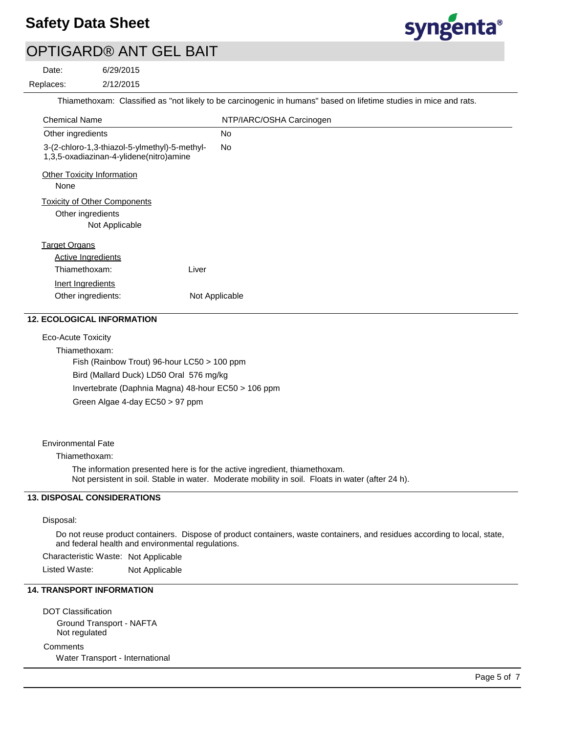# **Safety Data Sheet**



# OPTIGARD® ANT GEL BAIT

6/29/2015 Date:

2/12/2015 Replaces:<br>————————————————————

Thiamethoxam: Classified as "not likely to be carcinogenic in humans" based on lifetime studies in mice and rats.

| <b>Chemical Name</b>                                                                     | NTP/IARC/OSHA Carcinogen |
|------------------------------------------------------------------------------------------|--------------------------|
| Other ingredients                                                                        | <b>No</b>                |
| 3-(2-chloro-1,3-thiazol-5-ylmethyl)-5-methyl-<br>1,3,5-oxadiazinan-4-ylidene(nitro)amine | <b>No</b>                |
| <b>Other Toxicity Information</b>                                                        |                          |
| None                                                                                     |                          |
| <b>Toxicity of Other Components</b>                                                      |                          |
| Other ingredients                                                                        |                          |
| Not Applicable                                                                           |                          |
| <b>Target Organs</b>                                                                     |                          |
| <b>Active Ingredients</b>                                                                |                          |
| Liver<br>Thiamethoxam:                                                                   |                          |
| Inert Ingredients                                                                        |                          |
| Other ingredients:                                                                       | Not Applicable           |
|                                                                                          |                          |

## **12. ECOLOGICAL INFORMATION**

Eco-Acute Toxicity

Thiamethoxam: Fish (Rainbow Trout) 96-hour LC50 > 100 ppm Bird (Mallard Duck) LD50 Oral 576 mg/kg Invertebrate (Daphnia Magna) 48-hour EC50 > 106 ppm Green Algae 4-day EC50 > 97 ppm

### Environmental Fate

### Thiamethoxam:

The information presented here is for the active ingredient, thiamethoxam. Not persistent in soil. Stable in water. Moderate mobility in soil. Floats in water (after 24 h).

### **13. DISPOSAL CONSIDERATIONS**

#### Disposal:

Do not reuse product containers. Dispose of product containers, waste containers, and residues according to local, state, and federal health and environmental regulations.

Characteristic Waste: Not Applicable

Listed Waste: Not Applicable

## **14. TRANSPORT INFORMATION**

DOT Classification Ground Transport - NAFTA Not regulated

**Comments** Water Transport - International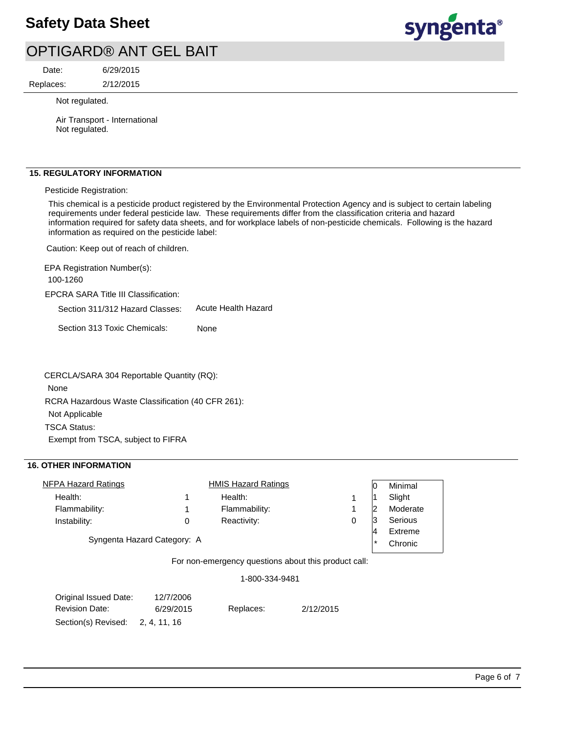# **Safety Data Sheet**



# OPTIGARD® ANT GEL BAIT

2/12/2015 6/29/2015 Replaces: Date:

Not regulated.

Air Transport - International Not regulated.

### **15. REGULATORY INFORMATION**

Pesticide Registration:

This chemical is a pesticide product registered by the Environmental Protection Agency and is subject to certain labeling requirements under federal pesticide law. These requirements differ from the classification criteria and hazard information required for safety data sheets, and for workplace labels of non-pesticide chemicals. Following is the hazard information as required on the pesticide label:

Caution: Keep out of reach of children.

EPCRA SARA Title III Classification: Section 311/312 Hazard Classes: Section 313 Toxic Chemicals: EPA Registration Number(s): 100-1260 None Acute Health Hazard

RCRA Hazardous Waste Classification (40 CFR 261): Not Applicable TSCA Status: Exempt from TSCA, subject to FIFRA CERCLA/SARA 304 Reportable Quantity (RQ): None

### **16. OTHER INFORMATION**

| <b>NFPA Hazard Ratings</b>  |   | <b>HMIS Hazard Ratings</b> |   |         | Minimal  |
|-----------------------------|---|----------------------------|---|---------|----------|
| Health:                     |   | Health:                    |   |         | Slight   |
| Flammability:               |   | Flammability:              |   |         | Moderate |
| Instability:                | 0 | Reactivity:                | 0 |         | Serious  |
|                             |   |                            |   | 4       | Extreme  |
| Syngenta Hazard Category: A |   |                            |   | $\star$ | Chronic  |
|                             | - |                            |   |         |          |

For non-emergency questions about this product call:

1-800-334-9481

| Original Issued Date: | 12/7/2006    |           |           |
|-----------------------|--------------|-----------|-----------|
| <b>Revision Date:</b> | 6/29/2015    | Replaces: | 2/12/2015 |
| Section(s) Revised:   | 2. 4. 11. 16 |           |           |